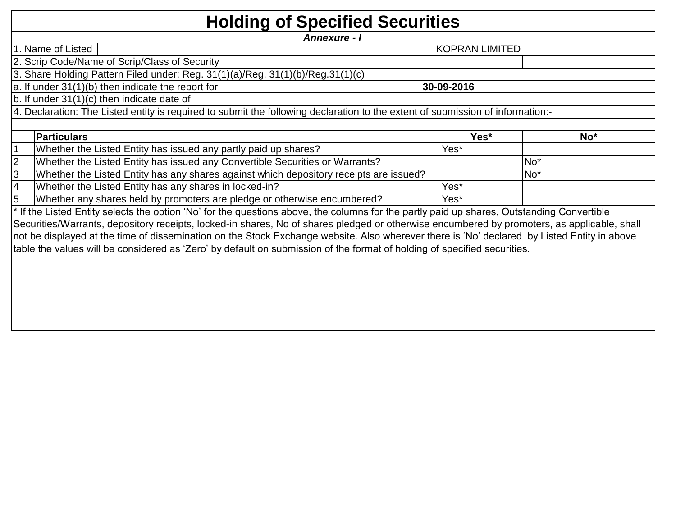|                | <b>Holding of Specified Securities</b>                                                                                                                                                                                                                                                     |                       |                 |
|----------------|--------------------------------------------------------------------------------------------------------------------------------------------------------------------------------------------------------------------------------------------------------------------------------------------|-----------------------|-----------------|
|                | <b>Annexure - I</b>                                                                                                                                                                                                                                                                        |                       |                 |
|                | 1. Name of Listed                                                                                                                                                                                                                                                                          | <b>KOPRAN LIMITED</b> |                 |
|                | 2. Scrip Code/Name of Scrip/Class of Security                                                                                                                                                                                                                                              |                       |                 |
|                | 3. Share Holding Pattern Filed under: Reg. 31(1)(a)/Reg. 31(1)(b)/Reg.31(1)(c)                                                                                                                                                                                                             |                       |                 |
|                | $ a.$ If under 31(1)(b) then indicate the report for                                                                                                                                                                                                                                       | 30-09-2016            |                 |
|                | b. If under 31(1)(c) then indicate date of                                                                                                                                                                                                                                                 |                       |                 |
|                | 4. Declaration: The Listed entity is required to submit the following declaration to the extent of submission of information:-                                                                                                                                                             |                       |                 |
|                |                                                                                                                                                                                                                                                                                            |                       |                 |
|                | <b>Particulars</b>                                                                                                                                                                                                                                                                         | Yes*                  | No <sup>*</sup> |
|                | Whether the Listed Entity has issued any partly paid up shares?                                                                                                                                                                                                                            | Yes*                  |                 |
| $\overline{2}$ | Whether the Listed Entity has issued any Convertible Securities or Warrants?                                                                                                                                                                                                               |                       | No <sup>*</sup> |
|                | Whether the Listed Entity has any shares against which depository receipts are issued?                                                                                                                                                                                                     |                       | $No*$           |
| 3              |                                                                                                                                                                                                                                                                                            |                       |                 |
| $\overline{4}$ | Whether the Listed Entity has any shares in locked-in?                                                                                                                                                                                                                                     | Yes*                  |                 |
|                | Whether any shares held by promoters are pledge or otherwise encumbered?                                                                                                                                                                                                                   | Yes*                  |                 |
| 5              | * If the Listed Entity selects the option 'No' for the questions above, the columns for the partly paid up shares, Outstanding Convertible                                                                                                                                                 |                       |                 |
|                |                                                                                                                                                                                                                                                                                            |                       |                 |
|                | Securities/Warrants, depository receipts, locked-in shares, No of shares pledged or otherwise encumbered by promoters, as applicable, shall<br>not be displayed at the time of dissemination on the Stock Exchange website. Also wherever there is 'No' declared by Listed Entity in above |                       |                 |
|                | table the values will be considered as 'Zero' by default on submission of the format of holding of specified securities.                                                                                                                                                                   |                       |                 |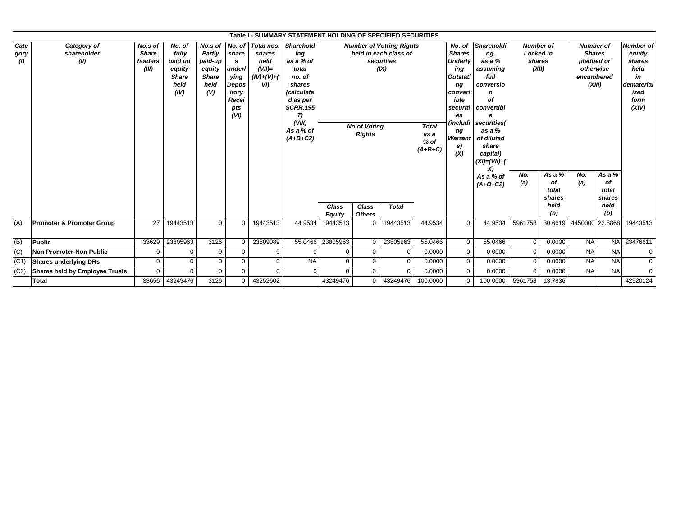|                     | Table I - SUMMARY STATEMENT HOLDING OF SPECIFIED SECURITIES<br>Sharehold<br>Shareholdi<br>No.s of<br>No. of<br>Total nos.<br>No. of<br><b>Number of Votting Rights</b><br>No. of<br><b>Number of</b><br><b>Number of</b><br>Category of<br>No.s of |                                  |                                                            |                                                            |                                                                        |                                                      |                                                                                                                                                     |                                                                                     |                        |              |                                             |                                                                                                                                                |                                                                                                                                                                                             |                                                                                        |             |                                                                                                         |             |                                                                                           |
|---------------------|----------------------------------------------------------------------------------------------------------------------------------------------------------------------------------------------------------------------------------------------------|----------------------------------|------------------------------------------------------------|------------------------------------------------------------|------------------------------------------------------------------------|------------------------------------------------------|-----------------------------------------------------------------------------------------------------------------------------------------------------|-------------------------------------------------------------------------------------|------------------------|--------------|---------------------------------------------|------------------------------------------------------------------------------------------------------------------------------------------------|---------------------------------------------------------------------------------------------------------------------------------------------------------------------------------------------|----------------------------------------------------------------------------------------|-------------|---------------------------------------------------------------------------------------------------------|-------------|-------------------------------------------------------------------------------------------|
| Cate<br>gory<br>(1) | shareholder<br>(II)                                                                                                                                                                                                                                | <b>Share</b><br>holders<br>(III) | fully<br>paid up<br>equity<br><b>Share</b><br>held<br>(IV) | Partly<br>paid-up<br>equity<br><b>Share</b><br>held<br>(V) | share<br>s<br>underl<br>ying<br>Depos<br>itory<br>Recei<br>pts<br>(VI) | shares<br>held<br>$(VII)$ =<br>$(IV)+(V)+(V)$<br>VI) | ing<br>as a % of<br>total<br>no. of<br>shares<br><i><b>Calculate</b></i><br>d as per<br><b>SCRR, 195</b><br>7)<br>(VIII)<br>As a % of<br>$(A+B+C2)$ | held in each class of<br>securities<br>(IX)<br><b>No of Voting</b><br><b>Rights</b> |                        |              | <b>Total</b><br>as a<br>$%$ of<br>$(A+B+C)$ | <b>Shares</b><br><b>Underly</b><br>ing<br><b>Outstati</b><br>ng<br>convert<br>ible<br>securiti<br>es<br>(includi<br>ng<br>Warrant<br>s)<br>(X) | ng,<br>as a %<br>assuming<br>full<br>conversio<br>n<br>οf<br>convertibl<br>securities<br>as a $%$<br>of diluted<br>share<br>capital)<br>$(XI) = (VII) + ($<br>X)<br>As a % of<br>$(A+B+C2)$ | <b>Locked in</b><br>shares<br>(XII)<br>As a $%$<br>No.<br>(a)<br>of<br>total<br>shares |             | <b>Shares</b><br>pledged or<br>otherwise<br>encumbered<br>(XIII)<br>No.<br>As a %<br>(a)<br>οf<br>total |             | <b>Number of</b><br>equity<br>shares<br>held<br>in<br>dematerial<br>ized<br>form<br>(XIV) |
|                     |                                                                                                                                                                                                                                                    |                                  |                                                            |                                                            |                                                                        |                                                      |                                                                                                                                                     | <b>Class</b><br><b>Equity</b>                                                       | Class<br><b>Others</b> | <b>Total</b> |                                             |                                                                                                                                                |                                                                                                                                                                                             |                                                                                        | held<br>(b) |                                                                                                         | held<br>(b) |                                                                                           |
| (A)                 | <b>Promoter &amp; Promoter Group</b>                                                                                                                                                                                                               | 27                               | 19443513                                                   | $\Omega$                                                   | $\Omega$                                                               | 19443513                                             | 44.9534                                                                                                                                             | 19443513                                                                            | $\Omega$               | 19443513     | 44.9534                                     | $\mathbf{0}$                                                                                                                                   | 44.9534                                                                                                                                                                                     | 5961758                                                                                |             | 30.6619 4450000 22.8868                                                                                 |             | 19443513                                                                                  |
| (B)                 | <b>Public</b>                                                                                                                                                                                                                                      | 33629                            | 23805963                                                   | 3126                                                       | U                                                                      | 23809089                                             | 55.0466                                                                                                                                             | 23805963                                                                            | $\Omega$               | 23805963     | 55.0466                                     | $\mathbf 0$                                                                                                                                    | 55.0466                                                                                                                                                                                     | $\Omega$                                                                               | 0.0000      | <b>NA</b>                                                                                               |             | NA 23476611                                                                               |
| (C)                 | Non Promoter-Non Public                                                                                                                                                                                                                            | 0                                |                                                            | $\mathbf 0$                                                | $\Omega$                                                               | 0                                                    | ∩                                                                                                                                                   | 0                                                                                   | $\Omega$               | 0            | 0.0000                                      | $\mathbf 0$                                                                                                                                    | 0.0000                                                                                                                                                                                      | $\overline{0}$                                                                         | 0.0000      | <b>NA</b>                                                                                               | <b>NA</b>   | $\overline{0}$                                                                            |
| (C1)                | <b>Shares underlying DRs</b>                                                                                                                                                                                                                       | 0                                | $\Omega$                                                   | $\mathbf{0}$                                               | 0                                                                      | $\Omega$                                             | <b>NA</b>                                                                                                                                           | $\mathbf 0$                                                                         | $\Omega$               | $\mathbf 0$  | 0.0000                                      | $\mathbf 0$                                                                                                                                    | 0.0000                                                                                                                                                                                      | $\Omega$                                                                               | 0.0000      | <b>NA</b>                                                                                               | <b>NA</b>   | $\overline{0}$                                                                            |
| (C2)                | Shares held by Employee Trusts                                                                                                                                                                                                                     | $\Omega$                         | $\Omega$                                                   | $\mathbf 0$                                                | $\Omega$                                                               | $\Omega$                                             | $\Omega$                                                                                                                                            | $\Omega$                                                                            | $\mathbf{0}$           | $\mathbf 0$  | 0.0000                                      | $\mathbf 0$                                                                                                                                    | 0.0000                                                                                                                                                                                      | $\Omega$                                                                               | 0.0000      | <b>NA</b>                                                                                               | <b>NA</b>   | $\overline{0}$                                                                            |
|                     | <b>Total</b>                                                                                                                                                                                                                                       | 33656                            | 43249476                                                   | 3126                                                       |                                                                        | 43252602                                             |                                                                                                                                                     | 43249476                                                                            | $\Omega$               | 43249476     | 100,0000                                    | $\Omega$                                                                                                                                       | 100.0000                                                                                                                                                                                    | 5961758                                                                                | 13.7836     |                                                                                                         |             | 42920124                                                                                  |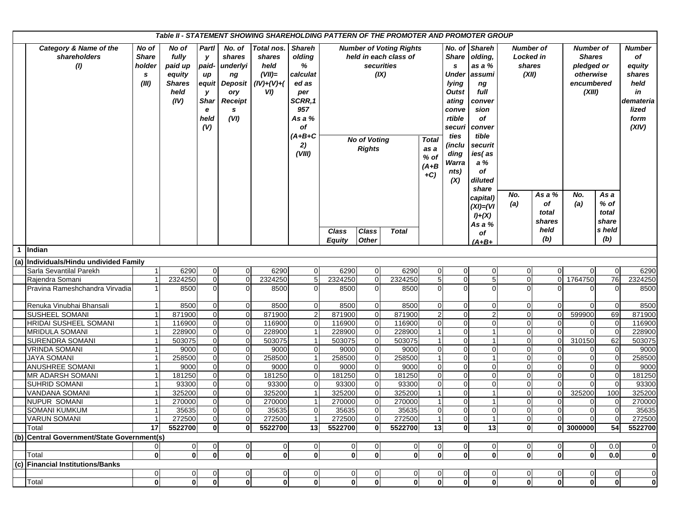|              |                                               |                                     |                                |                                                                      |                                                                                   |                                                                          |                                                                           |                                                                                                                       |                                | Table II - STATEMENT SHOWING SHAREHOLDING PATTERN OF THE PROMOTER AND PROMOTER GROUP |                                                                               |                                                   |                                                                                                                    |                                                                                                                                                                 |                                                  |                                |                                                                                      |                               |                                                                                       |
|--------------|-----------------------------------------------|-------------------------------------|--------------------------------|----------------------------------------------------------------------|-----------------------------------------------------------------------------------|--------------------------------------------------------------------------|---------------------------------------------------------------------------|-----------------------------------------------------------------------------------------------------------------------|--------------------------------|--------------------------------------------------------------------------------------|-------------------------------------------------------------------------------|---------------------------------------------------|--------------------------------------------------------------------------------------------------------------------|-----------------------------------------------------------------------------------------------------------------------------------------------------------------|--------------------------------------------------|--------------------------------|--------------------------------------------------------------------------------------|-------------------------------|---------------------------------------------------------------------------------------|
|              | Category & Name of the<br>shareholders<br>(1) | No of<br><b>Share</b><br>s<br>(III) | holder                         | No of<br>fully<br>paid up<br>equity<br><b>Shares</b><br>held<br>(IV) | <b>Partl</b><br>у<br>paid-<br>up<br>equit<br>у<br><b>Shar</b><br>е<br>held<br>(V) | No. of<br>shares<br>underlyi<br>ng<br>ory<br><b>Receipt</b><br>s<br>(VI) | Total nos.<br>shares<br>held<br>$(VII)=$<br>Deposit $(IV)+(V)+(V)$<br>VI) | <b>Shareh</b><br>olding<br>%<br>calculat<br>ed as<br>per<br>SCRR,1<br>957<br>As a %<br>of<br>$(A+B+C$<br>2)<br>(VIII) |                                | <b>No of Voting</b><br><b>Rights</b>                                                 | <b>Number of Voting Rights</b><br>held in each class of<br>securities<br>(IX) | <b>Total</b><br>as a<br>$%$ of<br>$(A+B)$<br>$+C$ | s<br>lying<br><b>Outst</b><br>ating<br>conve<br>rtible<br>securi<br>ties<br>(inclu<br>ding<br>Warra<br>nts)<br>(X) | No. of Shareh<br>Share olding,<br>as a %<br>Under assumi<br>ng<br>full<br>conver<br>sion<br>оf<br>conver<br>tible<br>securit<br>ies( as<br>a %<br>of<br>diluted | <b>Number of</b><br>Locked in<br>shares<br>(XII) |                                | <b>Number of</b><br><b>Shares</b><br>pledged or<br>otherwise<br>encumbered<br>(XIII) |                               | Number<br>of<br>equity<br>shares<br>held<br>in<br>demateria<br>lized<br>form<br>(XIV) |
|              |                                               |                                     |                                |                                                                      |                                                                                   |                                                                          |                                                                           | <b>Class</b><br><b>Equity</b>                                                                                         | Class<br><b>Other</b>          | <b>Total</b>                                                                         |                                                                               |                                                   | share<br>capital)<br>$(XI) = (VI)$<br>$I)+ (X)$<br>As a %<br>of<br>$(A+B+$                                         | No.<br>(a)                                                                                                                                                      | As a %<br>of<br>total<br>shares<br>held<br>(b)   | No.<br>(a)                     | As a<br>$%$ of<br>total<br>share<br>s held<br>(b)                                    |                               |                                                                                       |
| $\mathbf{1}$ | <b>Indian</b>                                 |                                     |                                |                                                                      |                                                                                   |                                                                          |                                                                           |                                                                                                                       |                                |                                                                                      |                                                                               |                                                   |                                                                                                                    |                                                                                                                                                                 |                                                  |                                |                                                                                      |                               |                                                                                       |
|              | (a) Individuals/Hindu undivided Family        |                                     |                                |                                                                      |                                                                                   |                                                                          |                                                                           |                                                                                                                       |                                |                                                                                      |                                                                               |                                                   |                                                                                                                    |                                                                                                                                                                 |                                                  |                                |                                                                                      |                               |                                                                                       |
|              | Sarla Sevantilal Parekh                       | $\mathbf{1}$                        | 6290                           | 0                                                                    | $\overline{0}$                                                                    | 6290                                                                     | $\overline{0}$                                                            | 6290                                                                                                                  | $\overline{0}$                 | 6290                                                                                 | $\overline{0}$                                                                | $\overline{0}$                                    | $\overline{0}$                                                                                                     | $\Omega$                                                                                                                                                        | $\overline{0}$                                   | $\overline{0}$                 | $\overline{0}$                                                                       | 6290                          |                                                                                       |
|              | Rajendra Somani                               | $\mathbf{1}$                        | 2324250                        | $\mathbf 0$                                                          | $\overline{0}$                                                                    | 2324250                                                                  | $\mathbf 5$                                                               | 2324250                                                                                                               | $\mathbf 0$                    | 2324250                                                                              | 5                                                                             | $\mathsf{O}\xspace$                               | 5 <sup>5</sup>                                                                                                     | $\Omega$                                                                                                                                                        |                                                  | 0 1764750                      | 76                                                                                   | 2324250                       |                                                                                       |
|              | Pravina Rameshchandra Virvadia                | $\mathbf{1}$                        | 8500                           | $\Omega$                                                             | $\overline{0}$                                                                    | 8500                                                                     | $\overline{0}$                                                            | 8500                                                                                                                  | $\overline{0}$                 | 8500                                                                                 | $\overline{0}$                                                                | $\Omega$                                          | $\Omega$                                                                                                           |                                                                                                                                                                 | $\Omega$                                         | $\Omega$                       | $\mathbf 0$                                                                          | 8500                          |                                                                                       |
|              | Renuka Vinubhai Bhansali                      |                                     | 8500                           | $\mathbf 0$                                                          | $\overline{0}$                                                                    | 8500                                                                     | $\mathbf 0$                                                               | 8500                                                                                                                  | $\mathbf 0$                    | 8500                                                                                 | $\mathbf 0$                                                                   | $\mathbf 0$                                       | $\overline{0}$                                                                                                     | 0                                                                                                                                                               | $\overline{0}$                                   | $\overline{0}$                 | $\mathbf 0$                                                                          | 8500                          |                                                                                       |
|              | <b>SUSHEEL SOMANI</b>                         | $\mathbf{1}$                        | 871900                         | $\mathbf 0$                                                          | $\overline{0}$                                                                    | 871900                                                                   | $\boldsymbol{2}$                                                          | 871900                                                                                                                | $\overline{0}$                 | 871900                                                                               | $\overline{2}$                                                                | $\overline{0}$                                    | $\overline{2}$                                                                                                     | $\Omega$                                                                                                                                                        | $\overline{0}$                                   | 599900                         | 69                                                                                   | 871900                        |                                                                                       |
|              | HRIDAI SUSHEEL SOMANI                         |                                     | 116900                         | 0                                                                    | $\overline{0}$                                                                    | 116900                                                                   | 0                                                                         | 116900                                                                                                                | $\mathbf 0$                    | 116900                                                                               | $\mathbf 0$                                                                   | $\overline{0}$                                    | $\Omega$                                                                                                           | $\Omega$                                                                                                                                                        | $\overline{0}$                                   | $\overline{0}$                 | 0                                                                                    | 116900                        |                                                                                       |
|              | <b>MRIDULA SOMANI</b>                         |                                     | 228900                         | $\mathbf 0$                                                          | $\overline{0}$                                                                    | 228900                                                                   |                                                                           | 228900                                                                                                                | $\mathbf 0$                    | 228900                                                                               |                                                                               | $\overline{0}$                                    |                                                                                                                    | $\Omega$                                                                                                                                                        | $\overline{0}$                                   | $\overline{0}$                 | $\mathbf 0$                                                                          | 228900                        |                                                                                       |
|              | <b>SURENDRA SOMANI</b>                        | $\mathbf{1}$                        | 503075                         | $\Omega$                                                             | $\mathbf 0$                                                                       | 503075                                                                   | $\mathbf 1$                                                               | 503075                                                                                                                | $\mathbf 0$                    | 503075                                                                               | $\mathbf{1}$                                                                  | $\overline{0}$                                    |                                                                                                                    | $\Omega$                                                                                                                                                        | $\overline{0}$                                   | 310150                         | 62                                                                                   | 503075                        |                                                                                       |
|              | <b>VRINDA SOMANI</b>                          | $\mathbf{1}$                        | 9000                           | 0                                                                    | $\overline{0}$                                                                    | 9000                                                                     | 0                                                                         | 9000                                                                                                                  | $\mathbf 0$                    | 9000                                                                                 | $\mathbf 0$                                                                   | $\mathbf 0$                                       | $\overline{0}$                                                                                                     | $\Omega$                                                                                                                                                        | $\overline{0}$                                   | $\overline{0}$                 | 0                                                                                    | 9000                          |                                                                                       |
|              | <b>JAYA SOMANI</b>                            | $\mathbf 1$                         | 258500                         | 0                                                                    | $\overline{0}$                                                                    | 258500                                                                   | $\mathbf{1}$                                                              | 258500                                                                                                                | $\overline{0}$                 | 258500                                                                               | $\mathbf{1}$                                                                  | $\overline{0}$                                    | $\mathbf 1$                                                                                                        | $\Omega$                                                                                                                                                        | $\overline{0}$                                   | $\overline{0}$                 | $\overline{0}$                                                                       | 258500                        |                                                                                       |
|              | <b>ANUSHREE SOMANI</b>                        |                                     | 9000                           | $\Omega$                                                             | $\overline{0}$                                                                    | 9000                                                                     | $\mathbf 0$                                                               | 9000                                                                                                                  | $\mathbf 0$                    | 9000                                                                                 | $\mathbf 0$                                                                   | $\mathbf 0$                                       | $\Omega$                                                                                                           | $\Omega$                                                                                                                                                        | $\Omega$                                         | $\overline{0}$                 | $\mathbf 0$                                                                          | 9000                          |                                                                                       |
|              | <b>MR ADARSH SOMANI</b>                       | 1                                   | 181250                         | $\mathbf 0$                                                          | $\mathbf 0$                                                                       | 181250                                                                   | $\mathbf 0$                                                               | 181250                                                                                                                | $\mathbf 0$                    | 181250                                                                               | $\overline{0}$                                                                | $\overline{0}$                                    | $\Omega$                                                                                                           | $\Omega$                                                                                                                                                        | $\overline{0}$                                   | $\overline{0}$                 | 0                                                                                    | 181250                        |                                                                                       |
|              | SUHRID SOMANI                                 | $\mathbf{1}$                        | 93300                          | 0                                                                    | $\overline{0}$                                                                    | 93300                                                                    | $\mathbf 0$                                                               | 93300                                                                                                                 | $\mathbf 0$                    | 93300                                                                                | $\mathbf 0$                                                                   | $\overline{0}$                                    | $\overline{0}$                                                                                                     | $\Omega$                                                                                                                                                        | $\overline{0}$                                   | $\overline{0}$                 | $\mathbf 0$                                                                          | 93300                         |                                                                                       |
|              | <b>VANDANA SOMANI</b>                         | $\mathbf{1}$                        | 325200                         | $\mathbf 0$                                                          | $\mathbf 0$                                                                       | 325200                                                                   | $\overline{1}$                                                            | 325200                                                                                                                | $\mathbf 0$                    | 325200                                                                               |                                                                               | $\mathsf{O}\xspace$                               |                                                                                                                    | $\Omega$                                                                                                                                                        | $\overline{0}$                                   | 325200                         | 100                                                                                  | 325200                        |                                                                                       |
|              | <b>NUPUR SOMANI</b>                           | $\mathbf 1$<br>1 <sup>1</sup>       | 270000                         | $\mathbf 0$                                                          | $\overline{0}$                                                                    | 270000                                                                   | $\mathbf{1}$                                                              | 270000                                                                                                                | $\overline{0}$                 | 270000                                                                               | $\mathbf{1}$                                                                  | $\overline{0}$                                    | $\mathbf 1$                                                                                                        | $\Omega$                                                                                                                                                        | $\overline{0}$<br>$\Omega$                       | $\overline{0}$                 | $\overline{0}$                                                                       | 270000                        |                                                                                       |
|              | SOMANI KUMKUM                                 |                                     | 35635                          | $\Omega$                                                             | $\Omega$                                                                          | 35635                                                                    | $\overline{0}$                                                            | 35635                                                                                                                 | $\overline{0}$                 | 35635                                                                                | $\overline{0}$                                                                | $\overline{0}$                                    | $\Omega$                                                                                                           | $\Omega$                                                                                                                                                        |                                                  | $\Omega$                       | $\overline{0}$                                                                       | 35635                         |                                                                                       |
|              | <b>VARUN SOMANI</b><br>Total                  | $\mathbf{1}$<br>17                  | 272500<br>5522700              | $\overline{0}$<br>$\bf{0}$                                           | $\overline{0}$<br>$\mathbf{0}$                                                    | 272500<br>5522700                                                        | $\mathbf 1$                                                               | 272500<br>5522700                                                                                                     | $\overline{0}$<br>$\mathbf{0}$ | 272500<br>5522700                                                                    | $\mathbf{1}$<br>13 <sup>1</sup>                                               | $\overline{0}$<br>$\mathbf{0}$                    | $\mathbf{1}$<br>13                                                                                                 | $\overline{0}$<br>$\mathbf{0}$                                                                                                                                  | $\overline{0}$                                   | $\overline{0}$<br>0 3000000    | 0<br>54                                                                              | 272500                        |                                                                                       |
|              |                                               |                                     |                                |                                                                      |                                                                                   |                                                                          | 13                                                                        |                                                                                                                       |                                |                                                                                      |                                                                               |                                                   |                                                                                                                    |                                                                                                                                                                 |                                                  |                                |                                                                                      | 5522700                       |                                                                                       |
|              | (b) Central Government/State Government(s)    |                                     |                                |                                                                      |                                                                                   |                                                                          |                                                                           |                                                                                                                       |                                |                                                                                      |                                                                               |                                                   |                                                                                                                    |                                                                                                                                                                 |                                                  |                                |                                                                                      |                               |                                                                                       |
|              | Total                                         | 0<br>$\overline{\mathbf{0}}$        | $\overline{0}$<br>$\mathbf{0}$ | $\mathbf{0}$                                                         | $\overline{0}$<br>$\mathbf{0}$                                                    | 0<br>$\mathbf{0}$                                                        | 0<br>$\mathbf 0$                                                          | $\overline{0}$<br>$\mathbf{0}$                                                                                        | 0<br>$\overline{\mathbf{0}}$   | 0<br>$\mathbf{0}$                                                                    | 0<br>$\mathbf{0}$                                                             | $\mathbf 0$<br>$\overline{\mathbf{0}}$            | $\overline{0}$<br> 0                                                                                               | $\overline{0}$<br>$\mathbf{0}$                                                                                                                                  | $\overline{0}$<br>$\mathbf{0}$                   | $\overline{0}$<br>$\mathbf{0}$ | $0.0\,$<br>0.0                                                                       | $\overline{0}$<br>$\mathbf 0$ |                                                                                       |
|              | (c) Financial Institutions/Banks              |                                     |                                |                                                                      |                                                                                   |                                                                          |                                                                           |                                                                                                                       |                                |                                                                                      |                                                                               |                                                   |                                                                                                                    |                                                                                                                                                                 |                                                  |                                |                                                                                      |                               |                                                                                       |
|              |                                               | 0                                   | $\overline{0}$                 |                                                                      | $\overline{0}$                                                                    | 0                                                                        | 0                                                                         | $\overline{0}$                                                                                                        | $\mathbf 0$                    | 0                                                                                    | 0                                                                             | $\overline{0}$                                    | $\overline{0}$                                                                                                     |                                                                                                                                                                 | $\overline{0}$                                   | $\overline{0}$                 | $\overline{0}$                                                                       | $\overline{0}$                |                                                                                       |
|              | Total                                         | $\mathbf 0$                         | $\overline{\mathbf{0}}$        | $\bf{0}$                                                             | $\mathbf{0}$                                                                      | $\mathbf 0$                                                              | $\mathbf 0$                                                               | $\mathbf{0}$                                                                                                          | $\mathbf 0$                    | $\mathbf{0}$                                                                         | $\mathbf{0}$                                                                  | $\mathbf{0}$                                      | $\mathbf{0}$                                                                                                       | $\mathbf{0}$                                                                                                                                                    | $\mathbf{0}$                                     | $\mathbf{0}$                   | $\overline{\mathbf{0}}$                                                              | $\mathbf 0$                   |                                                                                       |
|              |                                               |                                     |                                |                                                                      |                                                                                   |                                                                          |                                                                           |                                                                                                                       |                                |                                                                                      |                                                                               |                                                   |                                                                                                                    |                                                                                                                                                                 |                                                  |                                |                                                                                      |                               |                                                                                       |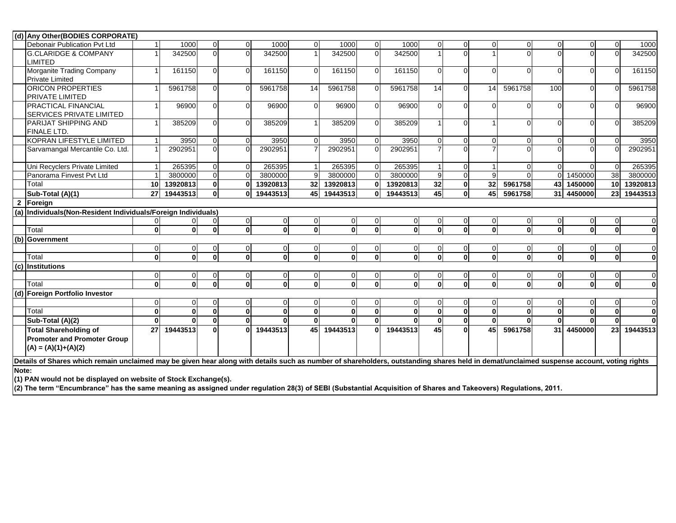|       | (d) Any Other (BODIES CORPORATE)                                                                                                                                                         |                         |                |                |                |              |                |                |                         |                |                |                |              |          |                |                |                         |                |
|-------|------------------------------------------------------------------------------------------------------------------------------------------------------------------------------------------|-------------------------|----------------|----------------|----------------|--------------|----------------|----------------|-------------------------|----------------|----------------|----------------|--------------|----------|----------------|----------------|-------------------------|----------------|
|       | Debonair Publication Pvt Ltd                                                                                                                                                             |                         | 1000           | $\Omega$       | $\Omega$       | 1000         | $\mathbf 0$    | 1000           | $\overline{0}$          | 1000           | 0              | $\Omega$       | $\Omega$     |          | $\Omega$       | $\Omega$       | 0                       | 1000           |
|       | <b>G.CLARIDGE &amp; COMPANY</b><br><b>LIMITED</b>                                                                                                                                        | $\overline{1}$          | 342500         | $\Omega$       | $\Omega$       | 342500       | $\overline{1}$ | 342500         | $\Omega$                | 342500         |                | $\Omega$       |              |          | $\Omega$       | $\Omega$       | $\Omega$                | 342500         |
|       | Morganite Trading Company<br><b>Private Limited</b>                                                                                                                                      | $\overline{\mathbf{1}}$ | 161150         | $\Omega$       | $\Omega$       | 161150       | $\Omega$       | 161150         | $\overline{0}$          | 161150         | $\Omega$       | $\overline{0}$ | $\Omega$     |          | $\Omega$       | $\Omega$       | 0                       | 161150         |
|       | ORICON PROPERTIES<br><b>PRIVATE LIMITED</b>                                                                                                                                              |                         | 5961758        | $\Omega$       | $\Omega$       | 5961758      | 14             | 5961758        | $\Omega$                | 5961758        | 14             | $\Omega$       | 14           | 5961758  | 100            | $\Omega$       | $\Omega$                | 5961758        |
|       | <b>PRACTICAL FINANCIAL</b><br><b>SERVICES PRIVATE LIMITED</b>                                                                                                                            | 1                       | 96900          | $\Omega$       | $\Omega$       | 96900        | $\Omega$       | 96900          | $\Omega$                | 96900          | $\Omega$       | $\Omega$       | $\Omega$     |          | U              | $\Omega$       | $\Omega$                | 96900          |
|       | <b>PARIJAT SHIPPING AND</b><br><b>FINALE LTD.</b>                                                                                                                                        |                         | 385209         | $\Omega$       | $\Omega$       | 385209       |                | 385209         | $\Omega$                | 385209         | $\mathbf 1$    | $\Omega$       |              |          | $\Omega$       | $\Omega$       | $\Omega$                | 385209         |
|       | KOPRAN LIFESTYLE LIMITED                                                                                                                                                                 | $\overline{\mathbf{1}}$ | 3950           | $\overline{0}$ | $\overline{0}$ | 3950         | $\mathbf 0$    | 3950           | $\overline{0}$          | 3950           | $\overline{0}$ | $\overline{0}$ | $\Omega$     |          | $\overline{0}$ | $\mathbf 0$    | 0                       | 3950           |
|       | Sarvamangal Mercantile Co. Ltd.                                                                                                                                                          |                         | 2902951        | $\Omega$       | $\Omega$       | 2902951      |                | 2902951        | $\Omega$                | 2902951        | $\overline{7}$ | $\Omega$       |              |          | $\Omega$       | $\Omega$       | $\Omega$                | 2902951        |
|       | Uni Recyclers Private Limited                                                                                                                                                            | $\overline{1}$          | 265395         | $\Omega$       | $\Omega$       | 265395       |                | 265395         | $\overline{0}$          | 265395         |                | $\Omega$       |              |          | $\Omega$       | $\Omega$       | $\Omega$                | 265395         |
|       | Panorama Finvest Pvt Ltd                                                                                                                                                                 |                         | 3800000        | $\Omega$       |                | 3800000      | 9              | 3800000        | $\Omega$                | 3800000        | 9              | $\Omega$       | q            |          | $\Omega$       | 1450000        | 38                      | 3800000        |
|       | Total                                                                                                                                                                                    | 10                      | 13920813       | $\mathbf{0}$   | 0              | 13920813     | 32             | 13920813       | $\mathbf{0}$            | 13920813       | 32             | $\pmb{0}$      | 32           | 5961758  |                | 43 1450000     | 10                      | 13920813       |
|       | Sub-Total (A)(1)                                                                                                                                                                         | 27                      | 19443513       | $\mathbf{0}$   | ΩI             | 19443513     | 45             | 19443513       | $\mathbf{0}$            | 19443513       | 45             | $\mathbf 0$    | 45           | 5961758  |                | 31 4450000     | 23                      | 19443513       |
|       | 2 Foreign                                                                                                                                                                                |                         |                |                |                |              |                |                |                         |                |                |                |              |          |                |                |                         |                |
|       | (a) Individuals (Non-Resident Individuals/Foreign Individuals)                                                                                                                           |                         |                |                |                |              |                |                |                         |                |                |                |              |          |                |                |                         |                |
|       |                                                                                                                                                                                          | $\Omega$                | 0              | $\Omega$       | $\overline{0}$ | $\mathbf 0$  | $\mathbf 0$    | $\overline{0}$ | $\overline{0}$          | $\overline{0}$ | $\overline{0}$ | $\overline{0}$ | $\Omega$     | $\Omega$ | $\overline{0}$ | $\overline{0}$ | 0                       | $\overline{0}$ |
|       | Total                                                                                                                                                                                    | $\mathbf{0}$            | $\mathbf{0}$   | $\mathbf{0}$   | $\mathbf{0}$   | $\bf{0}$     | $\mathbf{0}$   | $\Omega$       | $\mathbf{0}$            | $\mathbf{0}$   | $\mathbf{0}$   | $\mathbf 0$    | $\mathbf{0}$ | $\bf{0}$ | $\mathbf{0}$   | $\mathbf{0}$   | $\overline{\mathbf{o}}$ | $\mathbf{0}$   |
|       | (b) Government                                                                                                                                                                           |                         |                |                |                |              |                |                |                         |                |                |                |              |          |                |                |                         |                |
|       |                                                                                                                                                                                          | $\Omega$                | $\overline{0}$ | $\Omega$       | $\overline{0}$ | 0            | $\mathbf 0$    | $\Omega$       | $\overline{0}$          | $\Omega$       | $\Omega$       | $\overline{0}$ | $\Omega$     | $\Omega$ | $\overline{0}$ | $\overline{0}$ | $\overline{0}$          | $\overline{0}$ |
|       | Total                                                                                                                                                                                    | $\mathbf 0$             | $\mathbf{0}$   | $\mathbf{0}$   | $\Omega$       | $\bf{0}$     | $\mathbf{0}$   | $\Omega$       | $\mathbf{0}$            | $\mathbf{0}$   | $\mathbf{0}$   | $\bf{0}$       | $\mathbf{0}$ | $\Omega$ | $\mathbf{0}$   | $\mathbf{0}$   | $\mathbf 0$             | $\mathbf{0}$   |
|       | (c) Institutions                                                                                                                                                                         |                         |                |                |                |              |                |                |                         |                |                |                |              |          |                |                |                         |                |
|       |                                                                                                                                                                                          | $\mathbf 0$             | 0              | $\overline{0}$ | $\overline{0}$ | 0            | $\mathbf 0$    | $\overline{0}$ | $\overline{0}$          | $\overline{0}$ | $\overline{0}$ | $\overline{0}$ | $\mathbf 0$  | $\Omega$ | $\overline{0}$ | $\overline{0}$ | $\pmb{0}$               | $\overline{0}$ |
|       | Total                                                                                                                                                                                    | $\mathbf{0}$            | 0              | $\mathbf{0}$   | $\mathbf{0}$   | $\bf{0}$     | $\mathbf 0$    | $\mathbf{0}$   | $\mathbf{0}$            | $\mathbf{0}$   | $\mathbf{0}$   | $\mathbf 0$    | $\mathbf{0}$ | $\Omega$ | 0              | $\mathbf{0}$   | $\mathbf{0}$            | $\mathbf{0}$   |
|       | (d) Foreign Portfolio Investor                                                                                                                                                           |                         |                |                |                |              |                |                |                         |                |                |                |              |          |                |                |                         |                |
|       |                                                                                                                                                                                          |                         |                |                |                |              |                | $\Omega$       | $\mathbf 0$             | $\overline{0}$ | 0              | $\overline{0}$ | $\Omega$     |          | $\Omega$       | $\Omega$       | 0                       | $\overline{0}$ |
|       |                                                                                                                                                                                          | $\Omega$                | $\Omega$       | $\Omega$       | $\Omega$       | $\Omega$     | $\mathbf 0$    |                |                         |                |                |                |              |          |                |                |                         |                |
|       | Total                                                                                                                                                                                    | $\mathbf 0$             | $\mathbf{0}$   | $\mathbf{0}$   | $\mathbf{0}$   | $\bf{0}$     | $\mathbf 0$    | $\mathbf{0}$   | $\overline{\mathbf{o}}$ | $\mathbf{0}$   | $\mathbf{0}$   | $\pmb{0}$      | $\bf{0}$     |          | $\mathbf{0}$   | $\mathbf{0}$   | $\pmb{0}$               | $\mathbf{0}$   |
|       | Sub-Total (A)(2)                                                                                                                                                                         | $\mathbf 0$             | $\bf{0}$       | $\mathbf{0}$   | $\mathbf{0}$   | $\mathbf{0}$ | $\mathbf{0}$   | $\mathbf{0}$   | $\mathbf{0}$            | $\mathbf{0}$   | 0              | $\mathbf 0$    | $\bf{0}$     |          | $\mathbf{0}$   | $\mathbf{0}$   | $\mathbf{0}$            | $\mathbf 0$    |
|       | <b>Total Shareholding of</b><br><b>Promoter and Promoter Group</b><br>$(A) = (A)(1)+(A)(2)$                                                                                              | 27                      | 19443513       | $\mathbf{0}$   | 0              | 19443513     | 45             | 19443513       | ŋ                       | 19443513       | 45             | $\bf{0}$       | 45           | 5961758  |                | 31 4450000     | 23                      | 19443513       |
|       | Details of Shares which remain unclaimed may be given hear along with details such as number of shareholders, outstanding shares held in demat/unclaimed suspense account, voting rights |                         |                |                |                |              |                |                |                         |                |                |                |              |          |                |                |                         |                |
| Note: | (1) PAN would not be displayed on website of Stock Exchange(s).                                                                                                                          |                         |                |                |                |              |                |                |                         |                |                |                |              |          |                |                |                         |                |

**(2) The term "Encumbrance" has the same meaning as assigned under regulation 28(3) of SEBI (Substantial Acquisition of Shares and Takeovers) Regulations, 2011.**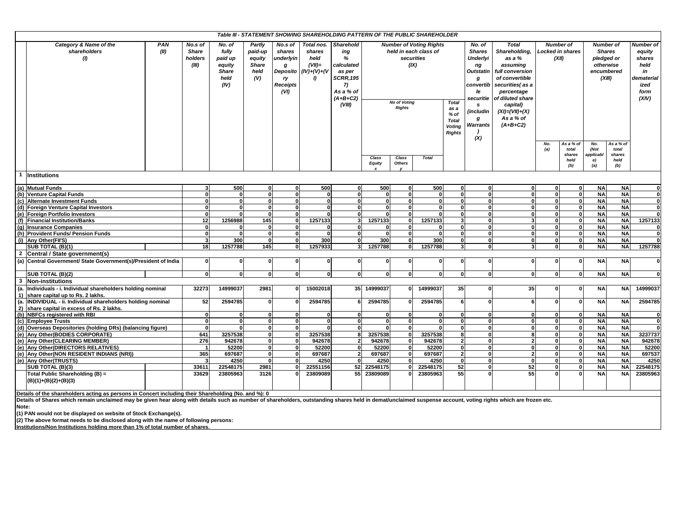|             |                                                                                                                                                                                                                |                                             |                                                                                                                                    |              |                         | Table III - STATEMENT SHOWING SHAREHOLDING PATTERN OF THE PUBLIC SHAREHOLDER |                                                                                                                                |                        |                                      |                                                                               |                                                                         |                                                                                                                                                     |                                                                                                                                                                                                              |                                                                          |                                |                                                                                                          |                                |                                                                                    |  |
|-------------|----------------------------------------------------------------------------------------------------------------------------------------------------------------------------------------------------------------|---------------------------------------------|------------------------------------------------------------------------------------------------------------------------------------|--------------|-------------------------|------------------------------------------------------------------------------|--------------------------------------------------------------------------------------------------------------------------------|------------------------|--------------------------------------|-------------------------------------------------------------------------------|-------------------------------------------------------------------------|-----------------------------------------------------------------------------------------------------------------------------------------------------|--------------------------------------------------------------------------------------------------------------------------------------------------------------------------------------------------------------|--------------------------------------------------------------------------|--------------------------------|----------------------------------------------------------------------------------------------------------|--------------------------------|------------------------------------------------------------------------------------|--|
|             | Category & Name of the<br>PAN<br>shareholders<br>(II)<br>$\mathcal{L}$                                                                                                                                         | No.s of<br><b>Share</b><br>holders<br>(III) | No. of<br>Partly<br>fully<br>paid-up<br>paid up<br>equity<br>equity<br><b>Share</b><br><b>Share</b><br>held<br>held<br>(V)<br>(IV) |              |                         | Total nos.<br>shares<br>underlyin<br>held<br>$(VII)$ =<br>(IV)+(V)+(V<br>D   | <b>Sharehold</b><br>ing<br>%<br>calculated<br>as per<br><b>SCRR,195</b><br>$\overline{7}$<br>As a % of<br>$(A+B+C2)$<br>(VIII) |                        | <b>No of Voting</b><br><b>Rights</b> | <b>Number of Voting Rights</b><br>held in each class of<br>securities<br>(IX) | <b>Total</b><br>as a<br>% of<br><b>Total</b><br>Voting<br><b>Rights</b> | No. of<br><b>Shares</b><br><b>Underlyi</b><br>ng<br><b>Outstatin</b><br>g<br>convertib<br>le<br>securitie<br>s<br>(includin<br>g<br>Warrants<br>(X) | <b>Total</b><br>Shareholding,<br>as a %<br>assuming<br>full conversion<br>of convertible<br>securities(as a<br>percentage<br>of diluted share<br>capital)<br>$(XI) = (VII) + (X)$<br>As a % of<br>$(A+B+C2)$ | <b>Number of</b><br><b>Locked in shares</b><br>(XII)<br>No.<br>As a % of |                                | <b>Number of</b><br><b>Shares</b><br>pledged or<br>otherwise<br>encumbered<br>(XIII)<br>No.<br>As a % of |                                | Number of<br>equity<br>shares<br>held<br>in<br>dematerial<br>ized<br>form<br>(XIV) |  |
|             |                                                                                                                                                                                                                |                                             |                                                                                                                                    |              |                         |                                                                              |                                                                                                                                | Class<br><b>Equity</b> | Class<br><b>Others</b>               | <b>Total</b>                                                                  |                                                                         |                                                                                                                                                     |                                                                                                                                                                                                              | (a)                                                                      | total<br>shares<br>held<br>(b) | (Not<br>applicabl<br>e)<br>(a)                                                                           | total<br>shares<br>held<br>(b) |                                                                                    |  |
| $\mathbf 1$ | <b>Institutions</b>                                                                                                                                                                                            |                                             |                                                                                                                                    |              |                         |                                                                              |                                                                                                                                |                        |                                      |                                                                               |                                                                         |                                                                                                                                                     |                                                                                                                                                                                                              |                                                                          |                                |                                                                                                          |                                |                                                                                    |  |
|             | (a) Mutual Funds                                                                                                                                                                                               | 3                                           | 500                                                                                                                                |              | $\mathbf{0}$            | 500                                                                          |                                                                                                                                | 500                    |                                      | 500                                                                           | O                                                                       |                                                                                                                                                     |                                                                                                                                                                                                              | $\Omega$                                                                 |                                | <b>NA</b>                                                                                                | <b>NA</b>                      |                                                                                    |  |
|             | (b) Venture Capital Funds                                                                                                                                                                                      | $\mathbf{o}$                                | $\mathbf{0}$                                                                                                                       | $\Omega$     | $\mathbf{0}$            | $\mathbf{0}$                                                                 | $\mathbf{0}$                                                                                                                   | $\mathbf{0}$           | $\Omega$                             | $\mathbf{0}$                                                                  | $\mathbf{0}$                                                            |                                                                                                                                                     | 0<br>0                                                                                                                                                                                                       | $\mathbf{0}$                                                             | οl                             | <b>NA</b>                                                                                                | <b>NA</b>                      | $\mathbf{0}$                                                                       |  |
|             | (c) Alternate Investment Funds                                                                                                                                                                                 | $\mathbf{0}$                                | $\mathbf 0$                                                                                                                        | U            | $\mathbf{0}$            | $\mathbf{0}$                                                                 |                                                                                                                                | $\mathbf{0}$           |                                      | $\Omega$                                                                      | O                                                                       | n.                                                                                                                                                  | n١                                                                                                                                                                                                           | $\mathbf{0}$                                                             | O                              | <b>NA</b>                                                                                                | <b>NA</b>                      | 0                                                                                  |  |
|             | (d) Foreign Venture Capital Investors                                                                                                                                                                          | $\mathbf{0}$                                | $\bf{0}$                                                                                                                           | $\Omega$     | $\mathbf{0}$            | $\mathbf{0}$                                                                 | $\Omega$                                                                                                                       | $\mathbf{0}$           |                                      | $\Omega$                                                                      | O                                                                       | <b>n</b>                                                                                                                                            | o١                                                                                                                                                                                                           | $\mathbf{0}$                                                             | O                              | <b>NA</b>                                                                                                | <b>NA</b>                      | $\mathbf{0}$                                                                       |  |
|             | (e) Foreign Portfolio Investors                                                                                                                                                                                | $\mathbf{0}$                                | $\Omega$                                                                                                                           | $\Omega$     | $\mathbf{0}$            | $\Omega$                                                                     | $\Omega$                                                                                                                       | $\mathbf{0}$           | $\Omega$                             | O                                                                             | $\Omega$                                                                | <b>n</b>                                                                                                                                            | o١                                                                                                                                                                                                           | $\mathbf{0}$                                                             | $\mathbf{0}$                   | <b>NA</b>                                                                                                | <b>NA</b>                      | $\mathbf{0}$                                                                       |  |
|             | (f) Financial Institution/Banks                                                                                                                                                                                | 12                                          | 1256988                                                                                                                            | 145          | $\mathbf{0}$            | 1257133                                                                      | $\mathbf{3}$                                                                                                                   | 1257133                | $\mathbf 0$                          | 1257133                                                                       | 3                                                                       | <b>n</b>                                                                                                                                            | $\mathbf{a}$                                                                                                                                                                                                 | $\mathbf{0}$                                                             | $\mathbf{0}$                   | <b>NA</b>                                                                                                | <b>NA</b>                      | 1257133                                                                            |  |
|             | (g) Insurance Companies                                                                                                                                                                                        | $\mathbf{0}$                                | $\Omega$                                                                                                                           | $\Omega$     | $\mathbf{0}$            | $\Omega$                                                                     | $\Omega$                                                                                                                       | $\mathbf{0}$           | $\Omega$                             | Û                                                                             | $\Omega$                                                                | <b>n</b>                                                                                                                                            | ΩI                                                                                                                                                                                                           | $\mathbf{0}$                                                             | $\Omega$                       | <b>NA</b>                                                                                                | <b>NA</b>                      | $\mathbf{0}$                                                                       |  |
|             | (h) Provident Funds/ Pension Funds                                                                                                                                                                             | $\mathbf{0}$                                | $\mathbf{0}$                                                                                                                       | $\mathbf{0}$ | $\mathbf{0}$            | $\Omega$                                                                     | $\Omega$                                                                                                                       | $\mathbf{0}$           | $\Omega$                             | $\Omega$                                                                      | O                                                                       | $\Omega$                                                                                                                                            | o١                                                                                                                                                                                                           | $\mathbf{0}$                                                             | $\Omega$                       | <b>NA</b>                                                                                                | <b>NA</b>                      | $\mathbf{0}$                                                                       |  |
| (i)         | Any Other(FII'S)                                                                                                                                                                                               | $\overline{\mathbf{3}}$                     | 300                                                                                                                                | $\mathbf{0}$ | $\mathbf{0}$            | 300                                                                          | $\Omega$                                                                                                                       | 300                    |                                      | 300                                                                           | O                                                                       | <b>n</b>                                                                                                                                            | o١                                                                                                                                                                                                           | $\mathbf{0}$                                                             | $\Omega$                       | <b>NA</b>                                                                                                | <b>NA</b>                      | $\mathbf{0}$                                                                       |  |
|             | SUB TOTAL (B)(1)                                                                                                                                                                                               | 18                                          | 1257788                                                                                                                            | 145          | $\mathbf{0}$            | 1257933                                                                      | 3 <sup>1</sup>                                                                                                                 | 1257788                | $\mathbf{0}$                         | 1257788                                                                       | $\mathbf{3}$                                                            |                                                                                                                                                     | 0<br>$\mathbf{3}$                                                                                                                                                                                            | $\Omega$                                                                 | $\Omega$                       | <b>NA</b>                                                                                                | <b>NA</b>                      | 1257788                                                                            |  |
|             | 2 Central / State government(s)                                                                                                                                                                                |                                             |                                                                                                                                    |              |                         |                                                                              |                                                                                                                                |                        |                                      |                                                                               |                                                                         |                                                                                                                                                     |                                                                                                                                                                                                              |                                                                          |                                |                                                                                                          |                                |                                                                                    |  |
|             | (a) Central Government/ State Government(s)/President of India                                                                                                                                                 | $\mathbf{0}$                                | $\mathbf{0}$                                                                                                                       | n            | $\mathbf{0}$            | $\mathbf{0}$                                                                 | $\Omega$                                                                                                                       | $\mathbf{0}$           | $\Omega$                             | $\mathbf{0}$                                                                  | $\Omega$                                                                | U                                                                                                                                                   | 0                                                                                                                                                                                                            | $\Omega$                                                                 | O                              | <b>NA</b>                                                                                                | <b>NA</b>                      | $\mathbf{0}$                                                                       |  |
|             | SUB TOTAL (B)(2)                                                                                                                                                                                               | $\mathbf{0}$                                | $\mathbf{0}$                                                                                                                       | <sup>o</sup> | $\mathbf{0}$            | $\Omega$                                                                     | n                                                                                                                              | $\Omega$               | n                                    | <sup>0</sup>                                                                  | n                                                                       |                                                                                                                                                     | 0.<br>n١                                                                                                                                                                                                     | $\Omega$                                                                 | <sup>o</sup>                   | <b>NA</b>                                                                                                | <b>NA</b>                      | $\mathbf{0}$                                                                       |  |
|             | 3 Non-institutions                                                                                                                                                                                             |                                             |                                                                                                                                    |              |                         |                                                                              |                                                                                                                                |                        |                                      |                                                                               |                                                                         |                                                                                                                                                     |                                                                                                                                                                                                              |                                                                          |                                |                                                                                                          |                                |                                                                                    |  |
| (a.<br>1)   | Individuals - i. Individual shareholders holding nominal<br>share capital up to Rs. 2 lakhs.                                                                                                                   | 32273                                       | 14999037                                                                                                                           | 2981         | $\mathbf{0}$            | 15002018                                                                     | 35                                                                                                                             | 14999037               |                                      | 14999037                                                                      | 35                                                                      |                                                                                                                                                     | 35                                                                                                                                                                                                           |                                                                          |                                | <b>NA</b>                                                                                                | <b>NA</b>                      | 14999037                                                                           |  |
| (a.<br>2)   | INDIVIDUAL - ii. Individual shareholders holding nominal<br>share capital in excess of Rs. 2 lakhs.                                                                                                            | 52                                          | 2594785                                                                                                                            | U            | $\Omega$                | 2594785                                                                      |                                                                                                                                | 2594785                |                                      | 2594785                                                                       | 6                                                                       |                                                                                                                                                     | 6                                                                                                                                                                                                            | $\Omega$                                                                 | Û                              | <b>NA</b>                                                                                                | <b>NA</b>                      | 2594785                                                                            |  |
|             | (b) NBFCs registered with RBI                                                                                                                                                                                  | $\mathbf{0}$                                | $\mathbf{0}$                                                                                                                       | $\mathbf{0}$ | $\mathbf{0}$            | $\mathbf{0}$                                                                 | $\Omega$                                                                                                                       | $\mathbf{0}$           | $\mathbf{0}$                         | $\bf{0}$                                                                      | οI                                                                      | $\Omega$                                                                                                                                            | $\mathbf{0}$                                                                                                                                                                                                 | $\mathbf{0}$                                                             | $\mathbf{0}$                   | <b>NA</b>                                                                                                | <b>NA</b>                      | $\mathbf 0$                                                                        |  |
|             | (c) Employee Trusts                                                                                                                                                                                            | $\mathbf{o}$                                | 0                                                                                                                                  | $\Omega$     | $\mathbf{0}$            | $\mathbf{0}$                                                                 |                                                                                                                                | $\mathbf 0$            |                                      | 0                                                                             | $\Omega$                                                                | O.                                                                                                                                                  | o١                                                                                                                                                                                                           | $\mathbf{0}$                                                             | $\mathbf{0}$                   | <b>NA</b>                                                                                                | <b>NA</b>                      | $\mathbf{0}$                                                                       |  |
|             | (d) Overseas Depositories (holding DRs) (balancing figure)                                                                                                                                                     | $\mathbf{0}$                                | $\Omega$                                                                                                                           | <b>n</b>     | $\mathbf{0}$            | $\mathbf{0}$                                                                 |                                                                                                                                | $\mathbf{0}$           | $\Omega$                             | <b>n</b>                                                                      | $\Omega$                                                                | <b>n</b>                                                                                                                                            | o١                                                                                                                                                                                                           | $\mathbf{0}$                                                             | $\Omega$                       | <b>NA</b>                                                                                                | <b>NA</b>                      | $\mathbf{0}$                                                                       |  |
|             | (e) Any Other (BODIES CORPORATE)                                                                                                                                                                               | 641                                         | 3257538                                                                                                                            | $\Omega$     | $\mathbf{0}$            | 3257538                                                                      | 8                                                                                                                              | 3257538                | -0                                   | 3257538                                                                       | 8                                                                       | $\Omega$                                                                                                                                            | 8                                                                                                                                                                                                            | $\mathbf{0}$                                                             | $\Omega$                       | <b>NA</b>                                                                                                | <b>NA</b>                      | 3237737                                                                            |  |
|             | (e) Any Other (CLEARING MEMBER)                                                                                                                                                                                | 276                                         | 942678                                                                                                                             | <sup>0</sup> | $\mathbf{0}$            | 942678                                                                       |                                                                                                                                | 942678                 |                                      | 942678                                                                        | $\overline{\phantom{a}}$                                                | n.                                                                                                                                                  | 2l                                                                                                                                                                                                           | $\Omega$                                                                 | $\Omega$                       | <b>NA</b>                                                                                                | <b>NA</b>                      | 942678                                                                             |  |
|             | (e) Any Other (DIRECTORS RELATIVES)                                                                                                                                                                            | $\vert$ 1                                   | 52200                                                                                                                              | $\Omega$     | $\mathbf{0}$            | 52200                                                                        | οl                                                                                                                             | 52200                  | $\mathbf 0$                          | 52200                                                                         | $\mathbf{0}$                                                            | $\Omega$                                                                                                                                            | o١                                                                                                                                                                                                           | $\mathbf{0}$                                                             | $\Omega$                       | <b>NA</b>                                                                                                | <b>NA</b>                      | 52200                                                                              |  |
|             | (e) Any Other (NON RESIDENT INDIANS (NRI))                                                                                                                                                                     | 365                                         | 697687                                                                                                                             | O            | $\mathbf{0}$            | 697687                                                                       | $\overline{2}$                                                                                                                 | 697687                 | $\Omega$                             | 697687                                                                        | $\overline{\phantom{a}}$                                                | U                                                                                                                                                   | $\mathbf{2}$                                                                                                                                                                                                 | $\Omega$                                                                 |                                | <b>NA</b>                                                                                                | <b>NA</b>                      | 697537                                                                             |  |
|             | (e) Any Other(TRUSTS)                                                                                                                                                                                          |                                             | 4250                                                                                                                               | n            | $\overline{\mathbf{0}}$ | 4250                                                                         | $\Omega$                                                                                                                       | 4250                   | $\Omega$                             | 4250                                                                          | $\bf{0}$                                                                | n.                                                                                                                                                  | U                                                                                                                                                                                                            | $\Omega$                                                                 | O                              | <b>NA</b>                                                                                                | <b>NA</b>                      | 4250                                                                               |  |
|             | SUB TOTAL (B)(3)                                                                                                                                                                                               | 33611                                       | 22548175                                                                                                                           | 2981         | $\mathbf{0}$            | 22551156                                                                     | 52                                                                                                                             | 22548175               | $\mathbf{0}$                         | 22548175                                                                      | 52                                                                      | $\Omega$                                                                                                                                            | 52                                                                                                                                                                                                           | $\mathbf{0}$                                                             | $\Omega$                       | <b>NA</b>                                                                                                | <b>NA</b>                      | 22548175                                                                           |  |
|             | Total Public Shareholding (B) =                                                                                                                                                                                | 33629                                       | 23805963                                                                                                                           | 3126         |                         | 23809089                                                                     | 55                                                                                                                             | 23809089               |                                      | 23805963                                                                      | 55                                                                      |                                                                                                                                                     | 55                                                                                                                                                                                                           |                                                                          |                                | <b>NA</b>                                                                                                | <b>NA</b>                      | 23805963                                                                           |  |
|             | $(B)(1)+(B)(2)+(B)(3)$                                                                                                                                                                                         |                                             |                                                                                                                                    |              |                         |                                                                              |                                                                                                                                |                        |                                      |                                                                               |                                                                         |                                                                                                                                                     |                                                                                                                                                                                                              |                                                                          |                                |                                                                                                          |                                |                                                                                    |  |
|             | Details of the shareholders acting as persons in Concert including their Shareholding (No. and %): 0                                                                                                           |                                             |                                                                                                                                    |              |                         |                                                                              |                                                                                                                                |                        |                                      |                                                                               |                                                                         |                                                                                                                                                     |                                                                                                                                                                                                              |                                                                          |                                |                                                                                                          |                                |                                                                                    |  |
|             | Details of Shares which remain unclaimed may be given hear along with details such as number of shareholders, outstanding shares held in demat/unclaimed suspense account, voting rights which are frozen etc. |                                             |                                                                                                                                    |              |                         |                                                                              |                                                                                                                                |                        |                                      |                                                                               |                                                                         |                                                                                                                                                     |                                                                                                                                                                                                              |                                                                          |                                |                                                                                                          |                                |                                                                                    |  |

**Note:**

(1) PAN would not be displayed on website of Stock Exchange(s).<br>(2) The above format needs to be disclosed along with the name of following persons:<br>Institutions/Non Institutions holding more than 1% of total number of sha